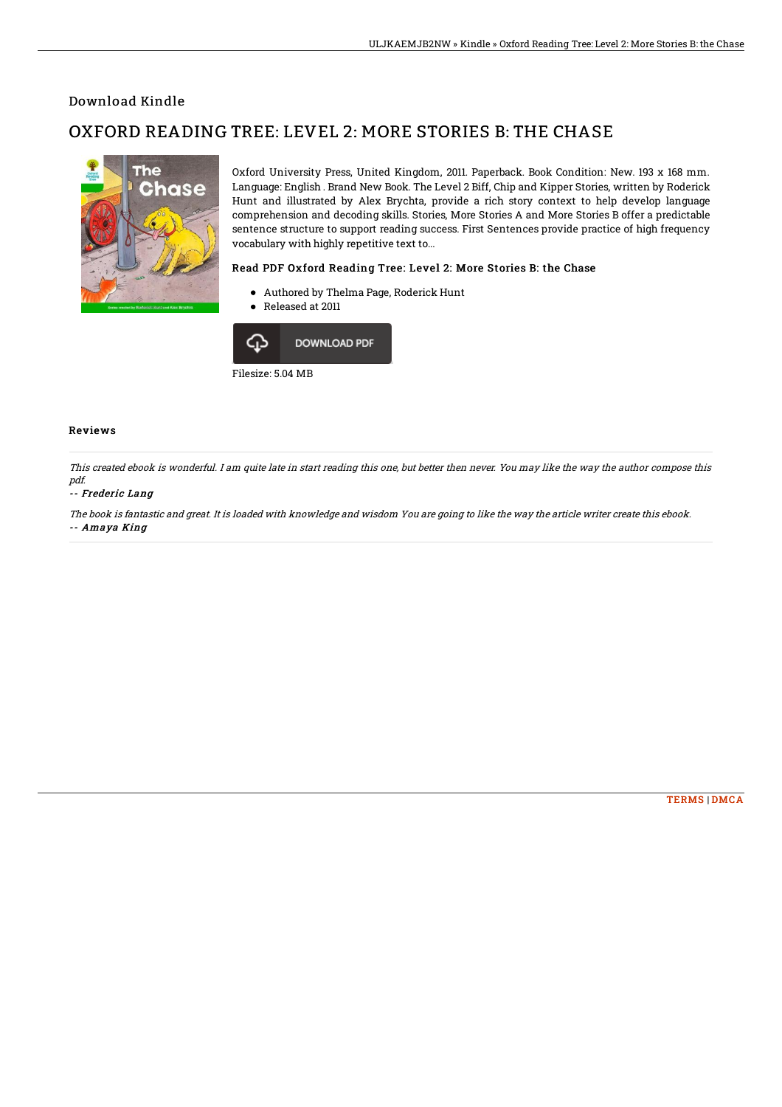## Download Kindle

# OXFORD READING TREE: LEVEL 2: MORE STORIES B: THE CHASE



Oxford University Press, United Kingdom, 2011. Paperback. Book Condition: New. 193 x 168 mm. Language: English . Brand New Book. The Level 2 Biff, Chip and Kipper Stories, written by Roderick Hunt and illustrated by Alex Brychta, provide a rich story context to help develop language comprehension and decoding skills. Stories, More Stories A and More Stories B offer a predictable sentence structure to support reading success. First Sentences provide practice of high frequency vocabulary with highly repetitive text to...

### Read PDF Oxford Reading Tree: Level 2: More Stories B: the Chase

- Authored by Thelma Page, Roderick Hunt
- Released at 2011



#### Reviews

This created ebook is wonderful. I am quite late in start reading this one, but better then never. You may like the way the author compose this pdf.

#### -- Frederic Lang

The book is fantastic and great. It is loaded with knowledge and wisdom You are going to like the way the article writer create this ebook. -- Amaya King